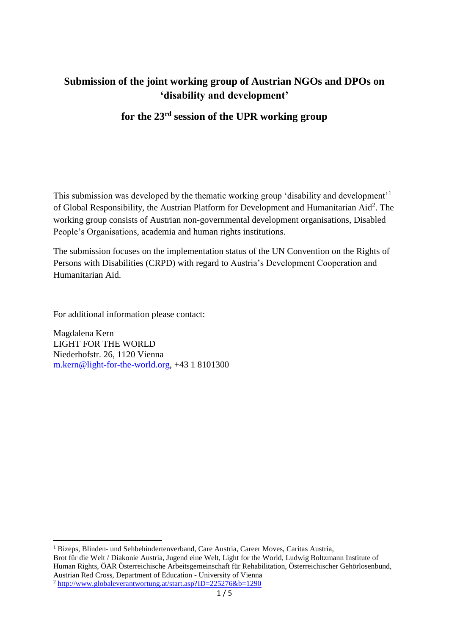# **Submission of the joint working group of Austrian NGOs and DPOs on 'disability and development'**

# **for the 23rd session of the UPR working group**

This submission was developed by the thematic working group 'disability and development'<sup>1</sup> of Global Responsibility, the Austrian Platform for Development and Humanitarian Aid<sup>2</sup>. The working group consists of Austrian non-governmental development organisations, Disabled People's Organisations, academia and human rights institutions.

The submission focuses on the implementation status of the UN Convention on the Rights of Persons with Disabilities (CRPD) with regard to Austria's Development Cooperation and Humanitarian Aid.

For additional information please contact:

Magdalena Kern LIGHT FOR THE WORLD Niederhofstr. 26, 1120 Vienna [m.kern@light-for-the-world.org,](mailto:m.kern@light-for-the-world.org) +43 1 8101300

<sup>1</sup> Bizeps, Blinden- und Sehbehindertenverband, Care Austria, Career Moves, Caritas Austria, Brot für die Welt / Diakonie Austria, Jugend eine Welt, Light for the World, Ludwig Boltzmann Institute of Human Rights, ÖAR Österreichische Arbeitsgemeinschaft für Rehabilitation, Österreichischer Gehörlosenbund, Austrian Red Cross, Department of Education - University of Vienna

**.** 

<sup>2</sup> <http://www.globaleverantwortung.at/start.asp?ID=225276&b=1290>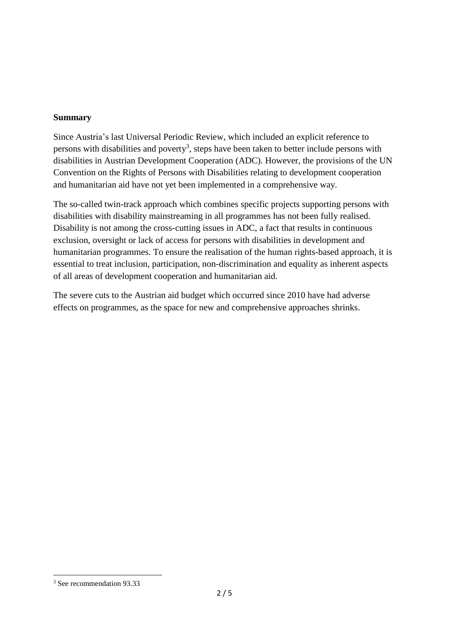#### **Summary**

Since Austria's last Universal Periodic Review, which included an explicit reference to persons with disabilities and poverty<sup>3</sup>, steps have been taken to better include persons with disabilities in Austrian Development Cooperation (ADC). However, the provisions of the UN Convention on the Rights of Persons with Disabilities relating to development cooperation and humanitarian aid have not yet been implemented in a comprehensive way.

The so-called twin-track approach which combines specific projects supporting persons with disabilities with disability mainstreaming in all programmes has not been fully realised. Disability is not among the cross-cutting issues in ADC, a fact that results in continuous exclusion, oversight or lack of access for persons with disabilities in development and humanitarian programmes. To ensure the realisation of the human rights-based approach, it is essential to treat inclusion, participation, non-discrimination and equality as inherent aspects of all areas of development cooperation and humanitarian aid.

The severe cuts to the Austrian aid budget which occurred since 2010 have had adverse effects on programmes, as the space for new and comprehensive approaches shrinks.

 $\overline{a}$ 

<sup>3</sup> See recommendation 93.33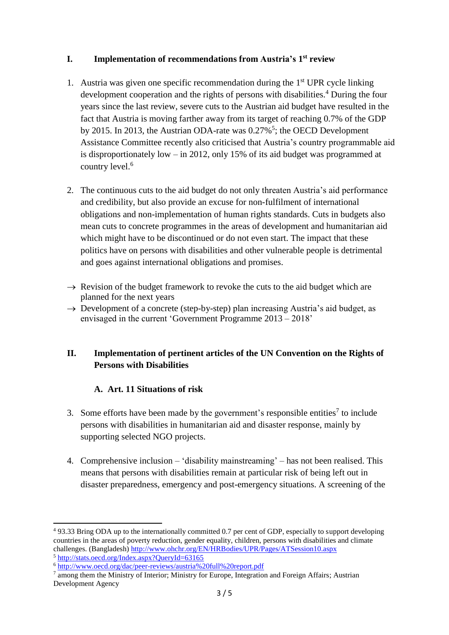### **I. Implementation of recommendations from Austria's 1 st review**

- 1. Austria was given one specific recommendation during the  $1<sup>st</sup> UPR$  cycle linking development cooperation and the rights of persons with disabilities.<sup>4</sup> During the four years since the last review, severe cuts to the Austrian aid budget have resulted in the fact that Austria is moving farther away from its target of reaching 0.7% of the GDP by 2015. In 2013, the Austrian ODA-rate was 0.27%<sup>5</sup>; the OECD Development Assistance Committee recently also criticised that Austria's country programmable aid is disproportionately low – in 2012, only 15% of its aid budget was programmed at country level.<sup>6</sup>
- 2. The continuous cuts to the aid budget do not only threaten Austria's aid performance and credibility, but also provide an excuse for non-fulfilment of international obligations and non-implementation of human rights standards. Cuts in budgets also mean cuts to concrete programmes in the areas of development and humanitarian aid which might have to be discontinued or do not even start. The impact that these politics have on persons with disabilities and other vulnerable people is detrimental and goes against international obligations and promises.
- $\rightarrow$  Revision of the budget framework to revoke the cuts to the aid budget which are planned for the next years
- $\rightarrow$  Development of a concrete (step-by-step) plan increasing Austria's aid budget, as envisaged in the current 'Government Programme 2013 – 2018'

### **II. Implementation of pertinent articles of the UN Convention on the Rights of Persons with Disabilities**

### **A. Art. 11 Situations of risk**

- 3. Some efforts have been made by the government's responsible entities<sup>7</sup> to include persons with disabilities in humanitarian aid and disaster response, mainly by supporting selected NGO projects.
- 4. Comprehensive inclusion 'disability mainstreaming' has not been realised. This means that persons with disabilities remain at particular risk of being left out in disaster preparedness, emergency and post-emergency situations. A screening of the

 $\overline{a}$ 

<sup>4</sup> 93.33 Bring ODA up to the internationally committed 0.7 per cent of GDP, especially to support developing countries in the areas of poverty reduction, gender equality, children, persons with disabilities and climate challenges. (Bangladesh)<http://www.ohchr.org/EN/HRBodies/UPR/Pages/ATSession10.aspx> <sup>5</sup> <http://stats.oecd.org/Index.aspx?QueryId=63165>

<sup>6</sup> <http://www.oecd.org/dac/peer-reviews/austria%20full%20report.pdf>

<sup>&</sup>lt;sup>7</sup> among them the Ministry of Interior; Ministry for Europe, Integration and Foreign Affairs; Austrian Development Agency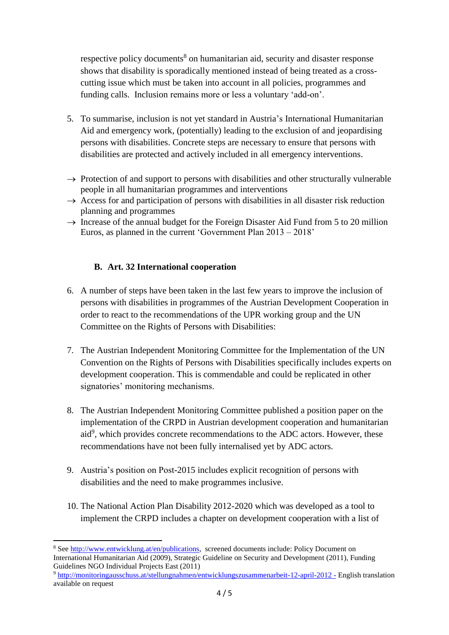respective policy documents<sup>8</sup> on humanitarian aid, security and disaster response shows that disability is sporadically mentioned instead of being treated as a crosscutting issue which must be taken into account in all policies, programmes and funding calls. Inclusion remains more or less a voluntary 'add-on'.

- 5. To summarise, inclusion is not yet standard in Austria's International Humanitarian Aid and emergency work, (potentially) leading to the exclusion of and jeopardising persons with disabilities. Concrete steps are necessary to ensure that persons with disabilities are protected and actively included in all emergency interventions.
- $\rightarrow$  Protection of and support to persons with disabilities and other structurally vulnerable people in all humanitarian programmes and interventions
- $\rightarrow$  Access for and participation of persons with disabilities in all disaster risk reduction planning and programmes
- $\rightarrow$  Increase of the annual budget for the Foreign Disaster Aid Fund from 5 to 20 million Euros, as planned in the current 'Government Plan 2013 – 2018'

### **B. Art. 32 International cooperation**

- 6. A number of steps have been taken in the last few years to improve the inclusion of persons with disabilities in programmes of the Austrian Development Cooperation in order to react to the recommendations of the UPR working group and the UN Committee on the Rights of Persons with Disabilities:
- 7. The Austrian Independent Monitoring Committee for the Implementation of the UN Convention on the Rights of Persons with Disabilities specifically includes experts on development cooperation. This is commendable and could be replicated in other signatories' monitoring mechanisms.
- 8. The Austrian Independent Monitoring Committee published a position paper on the implementation of the CRPD in Austrian development cooperation and humanitarian aid<sup>9</sup>, which provides concrete recommendations to the ADC actors. However, these recommendations have not been fully internalised yet by ADC actors.
- 9. Austria's position on Post-2015 includes explicit recognition of persons with disabilities and the need to make programmes inclusive.
- 10. The National Action Plan Disability 2012-2020 which was developed as a tool to implement the CRPD includes a chapter on development cooperation with a list of

**<sup>.</sup>** <sup>8</sup> See [http://www.entwicklung.at/en/publications,](http://www.entwicklung.at/en/publications) screened documents include: Policy Document on International Humanitarian Aid (2009), Strategic Guideline on Security and Development (2011), Funding Guidelines NGO Individual Projects East (2011)

<sup>9</sup> <http://monitoringausschuss.at/stellungnahmen/entwicklungszusammenarbeit-12-april-2012> - English translation available on request